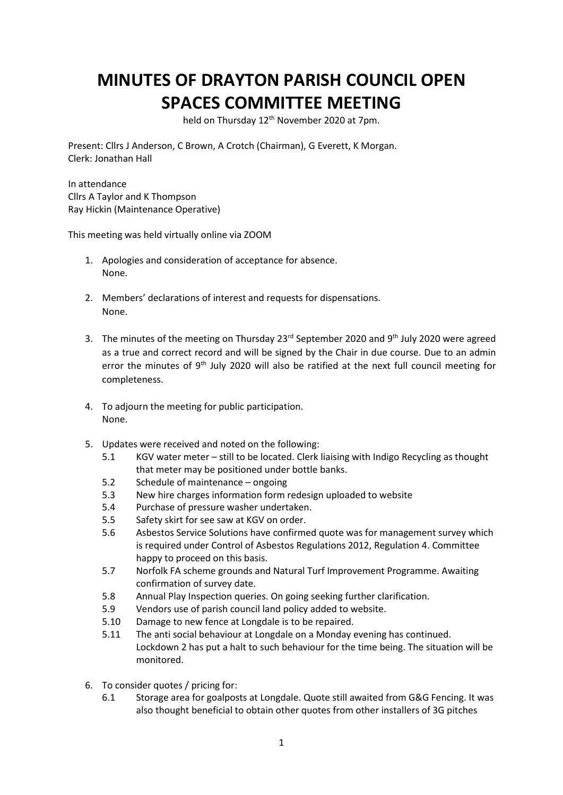## **MINUTES OF DRAYTON PARISH COUNCIL OPEN SPACES COMMITTEE MEETING**

held on Thursday 12<sup>th</sup> November 2020 at 7pm.

Present: Cllrs J Anderson, C Brown, A Crotch (Chairman), G Everett, K Morgan. Clerk: Jonathan Hall

In attendance Cllrs A Taylor and K Thompson Ray Hickin (Maintenance Operative)

This meeting was held virtually online via ZOOM

- 1. Apologies and consideration of acceptance for absence. None.
- 2. Members' declarations of interest and requests for dispensations. None.
- 3. The minutes of the meeting on Thursday  $23<sup>rd</sup>$  September 2020 and  $9<sup>th</sup>$  July 2020 were agreed as a true and correct record and will be signed by the Chair in due course. Due to an admin error the minutes of 9<sup>th</sup> July 2020 will also be ratified at the next full council meeting for completeness.
- 4. To adjourn the meeting for public participation. None.
- 5. Updates were received and noted on the following:
	- 5.1 KGV water meter still to be located. Clerk liaising with Indigo Recycling as thought that meter may be positioned under bottle banks.
	- 5.2 Schedule of maintenance ongoing
	- 5.3 New hire charges information form redesign uploaded to website
	- 5.4 Purchase of pressure washer undertaken.
	- 5.5 Safety skirt for see saw at KGV on order.
	- 5.6 Asbestos Service Solutions have confirmed quote was for management survey which is required under Control of Asbestos Regulations 2012, Regulation 4. Committee happy to proceed on this basis.
	- 5.7 Norfolk FA scheme grounds and Natural Turf Improvement Programme. Awaiting confirmation of survey date.
	- 5.8 Annual Play Inspection queries. On going seeking further clarification.
	- 5.9 Vendors use of parish council land policy added to website.
	- 5.10 Damage to new fence at Longdale is to be repaired.
	- 5.11 The anti social behaviour at Longdale on a Monday evening has continued. Lockdown 2 has put a halt to such behaviour for the time being. The situation will be monitored.
- 6. To consider quotes / pricing for:
	- 6.1 Storage area for goalposts at Longdale. Quote still awaited from G&G Fencing. It was also thought beneficial to obtain other quotes from other installers of 3G pitches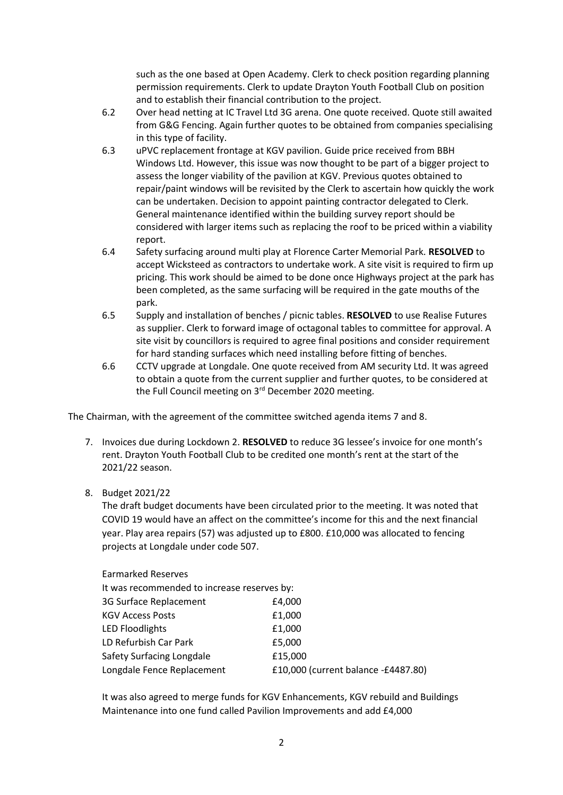such as the one based at Open Academy. Clerk to check position regarding planning permission requirements. Clerk to update Drayton Youth Football Club on position and to establish their financial contribution to the project.

- 6.2 Over head netting at IC Travel Ltd 3G arena. One quote received. Quote still awaited from G&G Fencing. Again further quotes to be obtained from companies specialising in this type of facility.
- 6.3 uPVC replacement frontage at KGV pavilion. Guide price received from BBH Windows Ltd. However, this issue was now thought to be part of a bigger project to assess the longer viability of the pavilion at KGV. Previous quotes obtained to repair/paint windows will be revisited by the Clerk to ascertain how quickly the work can be undertaken. Decision to appoint painting contractor delegated to Clerk. General maintenance identified within the building survey report should be considered with larger items such as replacing the roof to be priced within a viability report.
- 6.4 Safety surfacing around multi play at Florence Carter Memorial Park. **RESOLVED** to accept Wicksteed as contractors to undertake work. A site visit is required to firm up pricing. This work should be aimed to be done once Highways project at the park has been completed, as the same surfacing will be required in the gate mouths of the park.
- 6.5 Supply and installation of benches / picnic tables. **RESOLVED** to use Realise Futures as supplier. Clerk to forward image of octagonal tables to committee for approval. A site visit by councillors is required to agree final positions and consider requirement for hard standing surfaces which need installing before fitting of benches.
- 6.6 CCTV upgrade at Longdale. One quote received from AM security Ltd. It was agreed to obtain a quote from the current supplier and further quotes, to be considered at the Full Council meeting on 3<sup>rd</sup> December 2020 meeting.

The Chairman, with the agreement of the committee switched agenda items 7 and 8.

- 7. Invoices due during Lockdown 2. **RESOLVED** to reduce 3G lessee's invoice for one month's rent. Drayton Youth Football Club to be credited one month's rent at the start of the 2021/22 season.
- 8. Budget 2021/22

The draft budget documents have been circulated prior to the meeting. It was noted that COVID 19 would have an affect on the committee's income for this and the next financial year. Play area repairs (57) was adjusted up to £800. £10,000 was allocated to fencing projects at Longdale under code 507.

| It was recommended to increase reserves by: |  |
|---------------------------------------------|--|
| £4,000                                      |  |
| £1,000                                      |  |
| £1,000                                      |  |
| £5,000                                      |  |
| £15,000                                     |  |
| £10,000 (current balance -£4487.80)         |  |
|                                             |  |

It was also agreed to merge funds for KGV Enhancements, KGV rebuild and Buildings Maintenance into one fund called Pavilion Improvements and add £4,000